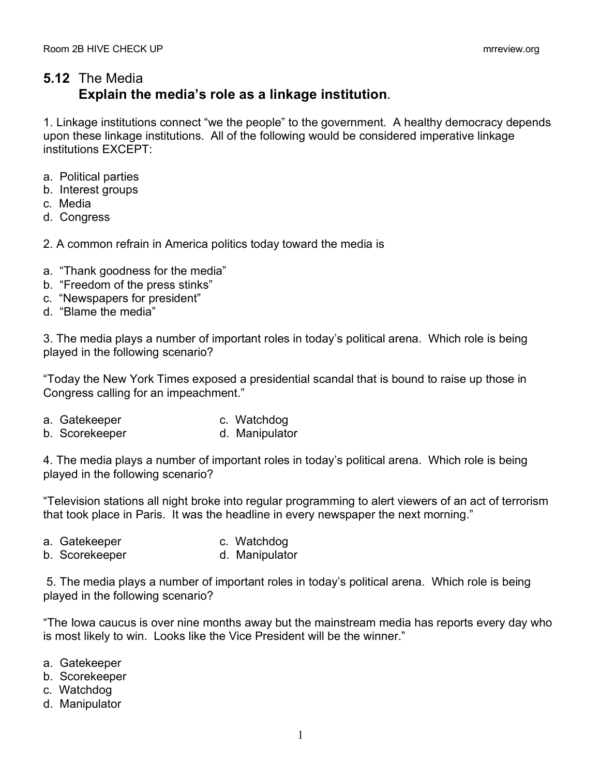## **5.12** The Media **Explain the media's role as a linkage institution**.

1. Linkage institutions connect "we the people" to the government. A healthy democracy depends upon these linkage institutions. All of the following would be considered imperative linkage institutions EXCEPT:

- a. Political parties
- b. Interest groups
- c. Media
- d. Congress
- 2. A common refrain in America politics today toward the media is
- a. "Thank goodness for the media"
- b. "Freedom of the press stinks"
- c. "Newspapers for president"
- d. "Blame the media"

3. The media plays a number of important roles in today's political arena. Which role is being played in the following scenario?

"Today the New York Times exposed a presidential scandal that is bound to raise up those in Congress calling for an impeachment."

- a. Gatekeeper c. Watchdog
- b. Scorekeeper d. Manipulator

4. The media plays a number of important roles in today's political arena. Which role is being played in the following scenario?

"Television stations all night broke into regular programming to alert viewers of an act of terrorism that took place in Paris. It was the headline in every newspaper the next morning."

- a. Gatekeeper c. Watchdog
- b. Scorekeeper d. Manipulator

5. The media plays a number of important roles in today's political arena. Which role is being played in the following scenario?

"The Iowa caucus is over nine months away but the mainstream media has reports every day who is most likely to win. Looks like the Vice President will be the winner."

- a. Gatekeeper
- b. Scorekeeper
- c. Watchdog
- d. Manipulator